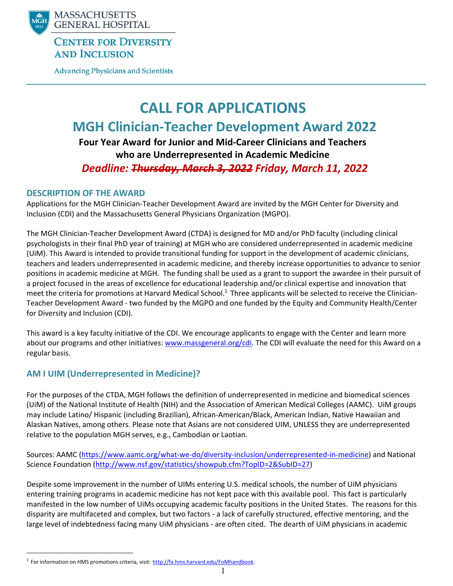

## **CENTER FOR DIVERSITY AND INCLUSION**

**Advancing Physicians and Scientists** 

# **CALL FOR APPLICATIONS MGH Clinician‐Teacher Development Award 2022 Four Year Award for Junior and Mid‐Career Clinicians and Teachers who are Underrepresented in Academic Medicine**

*Deadline: Thursday, March 3, 2022 Friday, March 11, 2022*

## **DESCRIPTION OF THE AWARD**

Applications for the MGH Clinician‐Teacher Development Award are invited by the MGH Center for Diversity and Inclusion (CDI) and the Massachusetts General Physicians Organization (MGPO).

The MGH Clinician‐Teacher Development Award (CTDA) is designed for MD and/or PhD faculty (including clinical psychologists in their final PhD year of training) at MGH who are considered underrepresented in academic medicine (UiM). This Award is intended to provide transitional funding for support in the development of academic clinicians, teachers and leaders underrepresented in academic medicine, and thereby increase opportunities to advance to senior positions in academic medicine at MGH. The funding shall be used as a grant to support the awardee in their pursuit of a project focused in the areas of excellence for educational leadership and/or clinical expertise and innovation that meet the criteria for promotions at Harvard Medical School.<sup>1</sup> Three applicants will be selected to receive the Clinician-Teacher Development Award ‐ two funded by the MGPO and one funded by the Equity and Community Health/Center for Diversity and Inclusion (CDI).

This award is a key faculty initiative of the CDI. We encourage applicants to engage with the Center and learn more about our programs and other initiatives: www.massgeneral.org/cdi. The CDI will evaluate the need for this Award on a regular basis.

## **AM I UIM (Underrepresented in Medicine)?**

For the purposes of the CTDA, MGH follows the definition of underrepresented in medicine and biomedical sciences (UiM) of the National Institute of Health (NIH) and the Association of American Medical Colleges (AAMC). UiM groups may include Latino/ Hispanic (including Brazilian), African‐American/Black, American Indian, Native Hawaiian and Alaskan Natives, among others. Please note that Asians are not considered UIM, UNLESS they are underrepresented relative to the population MGH serves, e.g., Cambodian or Laotian.

Sources: AAMC (https://www.aamc.org/what‐we‐do/diversity‐inclusion/underrepresented‐in‐medicine) and National Science Foundation (http://www.nsf.gov/statistics/showpub.cfm?TopID=2&SubID=27)

Despite some improvement in the number of UIMs entering U.S. medical schools, the number of UiM physicians entering training programs in academic medicine has not kept pace with this available pool. This fact is particularly manifested in the low number of UiMs occupying academic faculty positions in the United States. The reasons for this disparity are multifaceted and complex, but two factors ‐ a lack of carefully structured, effective mentoring, and the large level of indebtedness facing many UiM physicians ‐ are often cited. The dearth of UiM physicians in academic

 $1$  For information on HMS promotions criteria, visit: http://fa.hms.harvard.edu/FoMhandbook.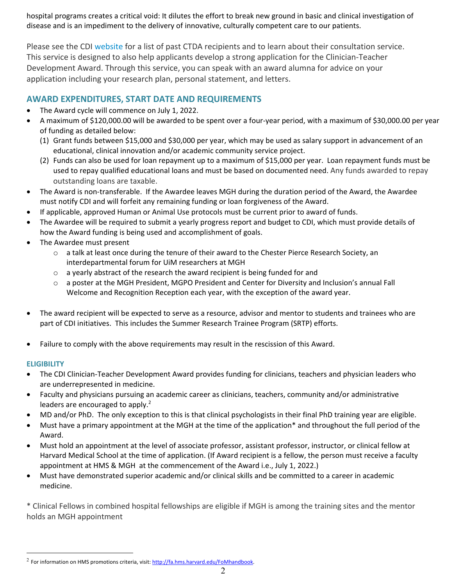hospital programs creates a critical void: It dilutes the effort to break new ground in basic and clinical investigation of disease and is an impediment to the delivery of innovative, culturally competent care to our patients.

Please see the CDI website for a list of past CTDA recipients and to learn about their consultation service. This service is designed to also help applicants develop a strong application for the Clinician‐Teacher Development Award. Through this service, you can speak with an award alumna for advice on your application including your research plan, personal statement, and letters.

## **AWARD EXPENDITURES, START DATE AND REQUIREMENTS**

- The Award cycle will commence on July 1, 2022.
- A maximum of \$120,000.00 will be awarded to be spent over a four‐year period, with a maximum of \$30,000.00 per year of funding as detailed below:
	- (1) Grant funds between \$15,000 and \$30,000 per year, which may be used as salary support in advancement of an educational, clinical innovation and/or academic community service project.
	- (2) Funds can also be used for loan repayment up to a maximum of \$15,000 per year. Loan repayment funds must be used to repay qualified educational loans and must be based on documented need. Any funds awarded to repay outstanding loans are taxable.
- The Award is non‐transferable. If the Awardee leaves MGH during the duration period of the Award, the Awardee must notify CDI and will forfeit any remaining funding or loan forgiveness of the Award.
- If applicable, approved Human or Animal Use protocols must be current prior to award of funds.
- The Awardee will be required to submit a yearly progress report and budget to CDI, which must provide details of how the Award funding is being used and accomplishment of goals.
- The Awardee must present
	- o a talk at least once during the tenure of their award to the Chester Pierce Research Society, an interdepartmental forum for UiM researchers at MGH
	- o a yearly abstract of the research the award recipient is being funded for and
	- $\circ$  a poster at the MGH President, MGPO President and Center for Diversity and Inclusion's annual Fall Welcome and Recognition Reception each year, with the exception of the award year.
- The award recipient will be expected to serve as a resource, advisor and mentor to students and trainees who are part of CDI initiatives. This includes the Summer Research Trainee Program (SRTP) efforts.
- Failure to comply with the above requirements may result in the rescission of this Award.

#### **ELIGIBILITY**

- The CDI Clinician-Teacher Development Award provides funding for clinicians, teachers and physician leaders who are underrepresented in medicine.
- Faculty and physicians pursuing an academic career as clinicians, teachers, community and/or administrative leaders are encouraged to apply.<sup>2</sup>
- MD and/or PhD. The only exception to this is that clinical psychologists in their final PhD training year are eligible.
- Must have a primary appointment at the MGH at the time of the application\* and throughout the full period of the Award.
- Must hold an appointment at the level of associate professor, assistant professor, instructor, or clinical fellow at Harvard Medical School at the time of application. (If Award recipient is a fellow, the person must receive a faculty appointment at HMS & MGH at the commencement of the Award i.e., July 1, 2022.)
- Must have demonstrated superior academic and/or clinical skills and be committed to a career in academic medicine.

\* Clinical Fellows in combined hospital fellowships are eligible if MGH is among the training sites and the mentor holds an MGH appointment

 $2$  For information on HMS promotions criteria, visit: http://fa.hms.harvard.edu/FoMhandbook.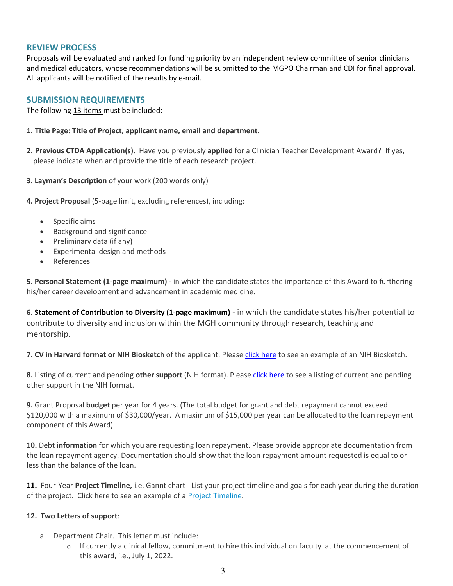#### **REVIEW PROCESS**

Proposals will be evaluated and ranked for funding priority by an independent review committee of senior clinicians and medical educators, whose recommendations will be submitted to the MGPO Chairman and CDI for final approval. All applicants will be notified of the results by e‐mail.

#### **SUBMISSION REQUIREMENTS**

The following 13 items must be included:

- **1. Title Page: Title of Project, applicant name, email and department.**
- **2. Previous CTDA Application(s).** Have you previously **applied** for a Clinician Teacher Development Award? If yes, please indicate when and provide the title of each research project.
- **3. Layman's Description** of your work (200 words only)
- **4. Project Proposal** (5‐page limit, excluding references), including:
	- Specific aims
	- Background and significance
	- Preliminary data (if any)
	- Experimental design and methods
	- References

**5. Personal Statement (1‐page maximum) ‐** in which the candidate states the importance of this Award to furthering his/her career development and advancement in academic medicine.

**6. Statement of Contribution to Diversity (1‐page maximum)** ‐ in which the candidate states his/her potential to contribute to diversity and inclusion within the MGH community through research, teaching and mentorship.

**7. CV in Harvard format or NIH Biosketch** of the applicant. Please click here to see an example of an NIH Biosketch.

**8.** Listing of current and pending **other support** (NIH format). Please click here to see a listing of current and pending other support in the NIH format.

**9.** Grant Proposal **budget** per year for 4 years. (The total budget for grant and debt repayment cannot exceed \$120,000 with a maximum of \$30,000/year. A maximum of \$15,000 per year can be allocated to the loan repayment component of this Award).

**10.** Debt **information** for which you are requesting loan repayment. Please provide appropriate documentation from the loan repayment agency. Documentation should show that the loan repayment amount requested is equal to or less than the balance of the loan.

**11.** Four‐Year **Project Timeline,** i.e. Gannt chart ‐ List your project timeline and goals for each year during the duration of the project. Click here to see an example of a Project Timeline.

#### **12. Two Letters of support**:

- a. Department Chair. This letter must include:
	- $\circ$  If currently a clinical fellow, commitment to hire this individual on faculty at the commencement of this award, i.e., July 1, 2022.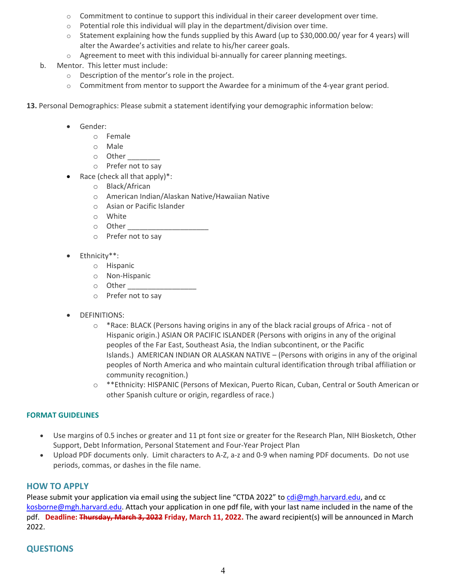- $\circ$  Commitment to continue to support this individual in their career development over time.
- $\circ$  Potential role this individual will play in the department/division over time.
- o Statement explaining how the funds supplied by this Award (up to \$30,000.00/ year for 4 years) will alter the Awardee's activities and relate to his/her career goals.
- $\circ$  Agreement to meet with this individual bi-annually for career planning meetings.
- b. Mentor. This letter must include:
	- o Description of the mentor's role in the project.
	- o Commitment from mentor to support the Awardee for a minimum of the 4‐year grant period.
- **13.** Personal Demographics: Please submit a statement identifying your demographic information below:
	- Gender:
		- o Female
		- o Male
		- $\circ$  Other
		- o Prefer not to say
	- Race (check all that apply)\*:
		- o Black/African
		- o American Indian/Alaskan Native/Hawaiian Native
		- o Asian or Pacific Islander
		- o White
		- $\circ$  Other
		- o Prefer not to say
	- Ethnicity\*\*:
		- o Hispanic
		- o Non‐Hispanic
		- o Other \_\_\_\_\_\_\_\_\_\_\_\_\_\_\_\_\_
		- o Prefer not to say
	- DEFINITIONS:
		- o \*Race: BLACK (Persons having origins in any of the black racial groups of Africa ‐ not of Hispanic origin.) ASIAN OR PACIFIC ISLANDER (Persons with origins in any of the original peoples of the Far East, Southeast Asia, the Indian subcontinent, or the Pacific Islands.) AMERICAN INDIAN OR ALASKAN NATIVE – (Persons with origins in any of the original peoples of North America and who maintain cultural identification through tribal affiliation or community recognition.)
		- o \*\*Ethnicity: HISPANIC (Persons of Mexican, Puerto Rican, Cuban, Central or South American or other Spanish culture or origin, regardless of race.)

#### **FORMAT GUIDELINES**

- Use margins of 0.5 inches or greater and 11 pt font size or greater for the Research Plan, NIH Biosketch, Other Support, Debt Information, Personal Statement and Four‐Year Project Plan
- Upload PDF documents only. Limit characters to A‐Z, a‐z and 0‐9 when naming PDF documents. Do not use periods, commas, or dashes in the file name.

#### **HOW TO APPLY**

Please submit your application via email using the subject line "CTDA 2022" to cdi@mgh.harvard.edu, and cc kosborne@mgh.harvard.edu. Attach your application in one pdf file, with your last name included in the name of the pdf. **Deadline: Thursday, March 3, 2022 Friday, March 11, 2022.** The award recipient(s) will be announced in March 2022.

### **QUESTIONS**